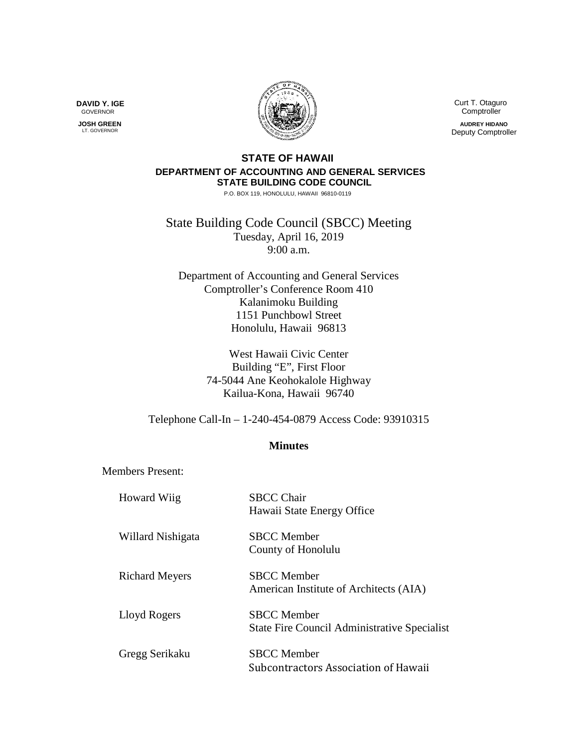

 Curt T. Otaguro Comptroller **AUDREY HIDANO** Deputy Comptroller

## **STATE OF HAWAII DEPARTMENT OF ACCOUNTING AND GENERAL SERVICES STATE BUILDING CODE COUNCIL**

P.O. BOX 119, HONOLULU, HAWAII 96810-0119

State Building Code Council (SBCC) Meeting Tuesday, April 16, 2019 9:00 a.m.

Department of Accounting and General Services Comptroller's Conference Room 410 Kalanimoku Building 1151 Punchbowl Street Honolulu, Hawaii 96813

> West Hawaii Civic Center Building "E", First Floor 74-5044 Ane Keohokalole Highway Kailua-Kona, Hawaii 96740

Telephone Call-In – 1-240-454-0879 Access Code: 93910315

## **Minutes**

Members Present:

| Howard Wiig           | <b>SBCC Chair</b><br>Hawaii State Energy Office                           |
|-----------------------|---------------------------------------------------------------------------|
| Willard Nishigata     | <b>SBCC</b> Member<br>County of Honolulu                                  |
| <b>Richard Meyers</b> | <b>SBCC</b> Member<br>American Institute of Architects (AIA)              |
| Lloyd Rogers          | <b>SBCC</b> Member<br><b>State Fire Council Administrative Specialist</b> |
| Gregg Serikaku        | <b>SBCC</b> Member<br>Subcontractors Association of Hawaii                |

**DAVID Y. IGE** GOVERNOR

 **JOSH GREEN** LT. GOVERNOR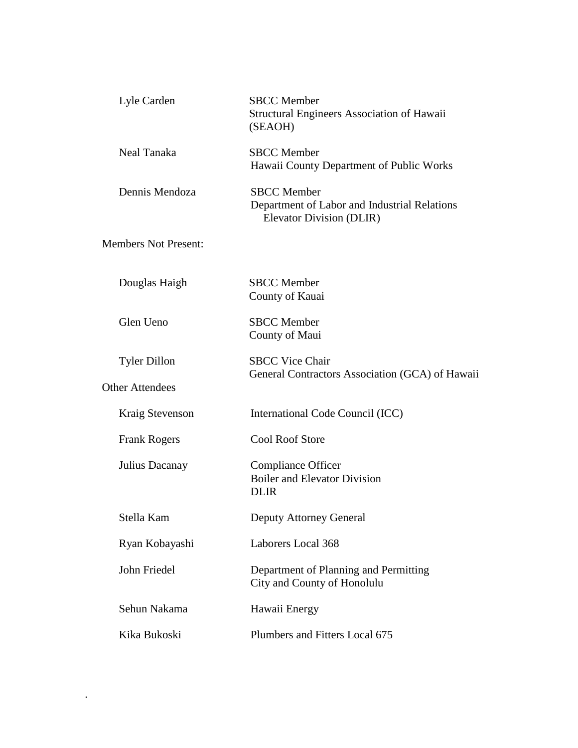| Lyle Carden                 | <b>SBCC</b> Member<br><b>Structural Engineers Association of Hawaii</b><br>(SEAOH)             |
|-----------------------------|------------------------------------------------------------------------------------------------|
| Neal Tanaka                 | <b>SBCC</b> Member<br>Hawaii County Department of Public Works                                 |
| Dennis Mendoza              | <b>SBCC</b> Member<br>Department of Labor and Industrial Relations<br>Elevator Division (DLIR) |
| <b>Members Not Present:</b> |                                                                                                |
| Douglas Haigh               | <b>SBCC</b> Member<br>County of Kauai                                                          |
| Glen Ueno                   | <b>SBCC</b> Member<br>County of Maui                                                           |
| <b>Tyler Dillon</b>         | <b>SBCC Vice Chair</b><br>General Contractors Association (GCA) of Hawaii                      |
| <b>Other Attendees</b>      |                                                                                                |
| Kraig Stevenson             | International Code Council (ICC)                                                               |
| <b>Frank Rogers</b>         | <b>Cool Roof Store</b>                                                                         |
| Julius Dacanay              | <b>Compliance Officer</b><br><b>Boiler and Elevator Division</b><br><b>DLIR</b>                |
| Stella Kam                  | <b>Deputy Attorney General</b>                                                                 |
| Ryan Kobayashi              | Laborers Local 368                                                                             |
| John Friedel                | Department of Planning and Permitting<br>City and County of Honolulu                           |
| Sehun Nakama                | Hawaii Energy                                                                                  |
| Kika Bukoski                | Plumbers and Fitters Local 675                                                                 |

.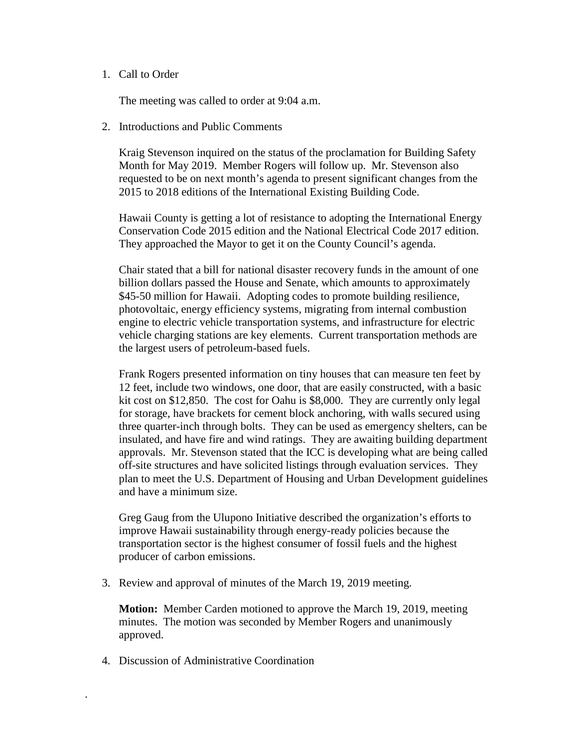## 1. Call to Order

The meeting was called to order at 9:04 a.m.

2. Introductions and Public Comments

Kraig Stevenson inquired on the status of the proclamation for Building Safety Month for May 2019. Member Rogers will follow up. Mr. Stevenson also requested to be on next month's agenda to present significant changes from the 2015 to 2018 editions of the International Existing Building Code.

Hawaii County is getting a lot of resistance to adopting the International Energy Conservation Code 2015 edition and the National Electrical Code 2017 edition. They approached the Mayor to get it on the County Council's agenda.

Chair stated that a bill for national disaster recovery funds in the amount of one billion dollars passed the House and Senate, which amounts to approximately \$45-50 million for Hawaii. Adopting codes to promote building resilience, photovoltaic, energy efficiency systems, migrating from internal combustion engine to electric vehicle transportation systems, and infrastructure for electric vehicle charging stations are key elements. Current transportation methods are the largest users of petroleum-based fuels.

Frank Rogers presented information on tiny houses that can measure ten feet by 12 feet, include two windows, one door, that are easily constructed, with a basic kit cost on \$12,850. The cost for Oahu is \$8,000. They are currently only legal for storage, have brackets for cement block anchoring, with walls secured using three quarter-inch through bolts. They can be used as emergency shelters, can be insulated, and have fire and wind ratings. They are awaiting building department approvals. Mr. Stevenson stated that the ICC is developing what are being called off-site structures and have solicited listings through evaluation services. They plan to meet the U.S. Department of Housing and Urban Development guidelines and have a minimum size.

Greg Gaug from the Ulupono Initiative described the organization's efforts to improve Hawaii sustainability through energy-ready policies because the transportation sector is the highest consumer of fossil fuels and the highest producer of carbon emissions.

3. Review and approval of minutes of the March 19, 2019 meeting.

**Motion:** Member Carden motioned to approve the March 19, 2019, meeting minutes. The motion was seconded by Member Rogers and unanimously approved.

4. Discussion of Administrative Coordination

.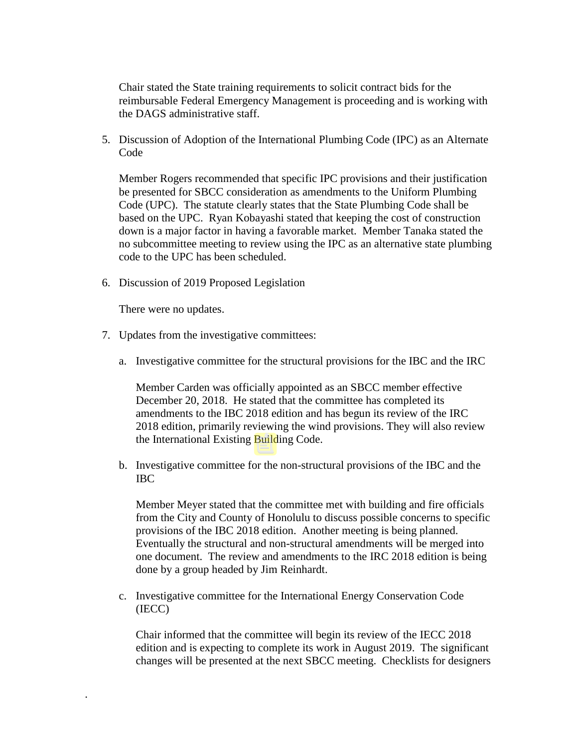Chair stated the State training requirements to solicit contract bids for the reimbursable Federal Emergency Management is proceeding and is working with the DAGS administrative staff.

5. Discussion of Adoption of the International Plumbing Code (IPC) as an Alternate Code

Member Rogers recommended that specific IPC provisions and their justification be presented for SBCC consideration as amendments to the Uniform Plumbing Code (UPC). The statute clearly states that the State Plumbing Code shall be based on the UPC. Ryan Kobayashi stated that keeping the cost of construction down is a major factor in having a favorable market. Member Tanaka stated the no subcommittee meeting to review using the IPC as an alternative state plumbing code to the UPC has been scheduled.

6. Discussion of 2019 Proposed Legislation

There were no updates.

.

- 7. Updates from the investigative committees:
	- a. Investigative committee for the structural provisions for the IBC and the IRC

Member Carden was officially appointed as an SBCC member effective December 20, 2018. He stated that the committee has completed its amendments to the IBC 2018 edition and has begun its review of the IRC 2018 edition, primarily reviewing the wind provisions. They will also review the International Existing Building Code.

b. Investigative committee for the non-structural provisions of the IBC and the IBC

Member Meyer stated that the committee met with building and fire officials from the City and County of Honolulu to discuss possible concerns to specific provisions of the IBC 2018 edition. Another meeting is being planned. Eventually the structural and non-structural amendments will be merged into one document. The review and amendments to the IRC 2018 edition is being done by a group headed by Jim Reinhardt.

c. Investigative committee for the International Energy Conservation Code (IECC)

Chair informed that the committee will begin its review of the IECC 2018 edition and is expecting to complete its work in August 2019. The significant changes will be presented at the next SBCC meeting. Checklists for designers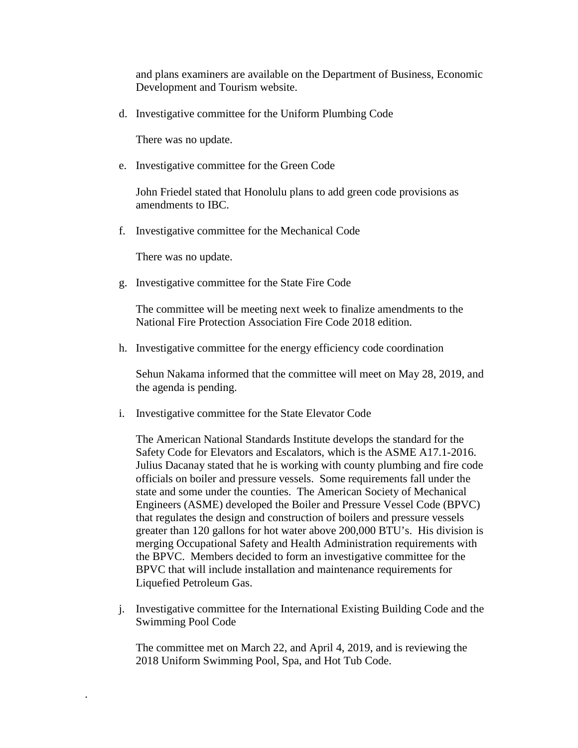and plans examiners are available on the Department of Business, Economic Development and Tourism website.

d. Investigative committee for the Uniform Plumbing Code

There was no update.

e. Investigative committee for the Green Code

John Friedel stated that Honolulu plans to add green code provisions as amendments to IBC.

f. Investigative committee for the Mechanical Code

There was no update.

.

g. Investigative committee for the State Fire Code

The committee will be meeting next week to finalize amendments to the National Fire Protection Association Fire Code 2018 edition.

h. Investigative committee for the energy efficiency code coordination

Sehun Nakama informed that the committee will meet on May 28, 2019, and the agenda is pending.

i. Investigative committee for the State Elevator Code

The American National Standards Institute develops the standard for the Safety Code for Elevators and Escalators, which is the ASME A17.1-2016. Julius Dacanay stated that he is working with county plumbing and fire code officials on boiler and pressure vessels. Some requirements fall under the state and some under the counties. The American Society of Mechanical Engineers (ASME) developed the Boiler and Pressure Vessel Code (BPVC) that regulates the design and construction of boilers and pressure vessels greater than 120 gallons for hot water above 200,000 BTU's. His division is merging Occupational Safety and Health Administration requirements with the BPVC. Members decided to form an investigative committee for the BPVC that will include installation and maintenance requirements for Liquefied Petroleum Gas.

j. Investigative committee for the International Existing Building Code and the Swimming Pool Code

The committee met on March 22, and April 4, 2019, and is reviewing the 2018 Uniform Swimming Pool, Spa, and Hot Tub Code.